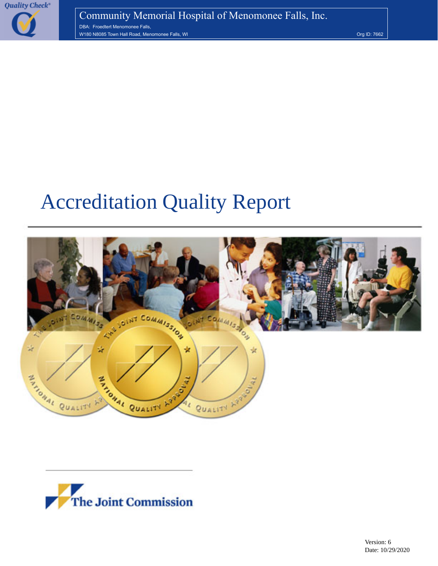

# Accreditation Quality Report



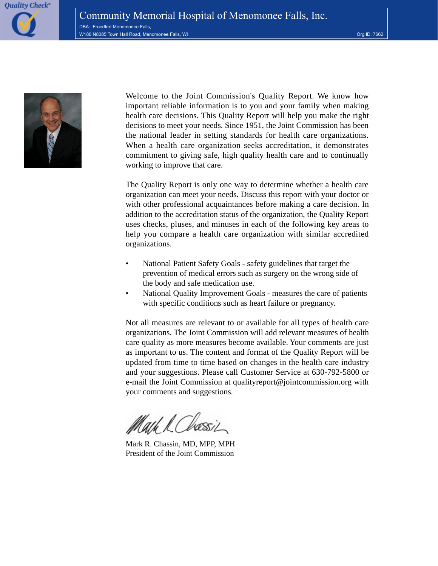**Quality Check®** 



Welcome to the Joint Commission's Quality Report. We know how important reliable information is to you and your family when making health care decisions. This Quality Report will help you make the right decisions to meet your needs. Since 1951, the Joint Commission has been the national leader in setting standards for health care organizations. When a health care organization seeks accreditation, it demonstrates commitment to giving safe, high quality health care and to continually working to improve that care.

The Quality Report is only one way to determine whether a health care organization can meet your needs. Discuss this report with your doctor or with other professional acquaintances before making a care decision. In addition to the accreditation status of the organization, the Quality Report uses checks, pluses, and minuses in each of the following key areas to help you compare a health care organization with similar accredited organizations.

- National Patient Safety Goals safety guidelines that target the prevention of medical errors such as surgery on the wrong side of the body and safe medication use.
- National Quality Improvement Goals measures the care of patients with specific conditions such as heart failure or pregnancy.

Not all measures are relevant to or available for all types of health care organizations. The Joint Commission will add relevant measures of health care quality as more measures become available. Your comments are just as important to us. The content and format of the Quality Report will be updated from time to time based on changes in the health care industry and your suggestions. Please call Customer Service at 630-792-5800 or e-mail the Joint Commission at qualityreport@jointcommission.org with your comments and suggestions.

Mark R. Chassin, MD, MPP, MPH President of the Joint Commission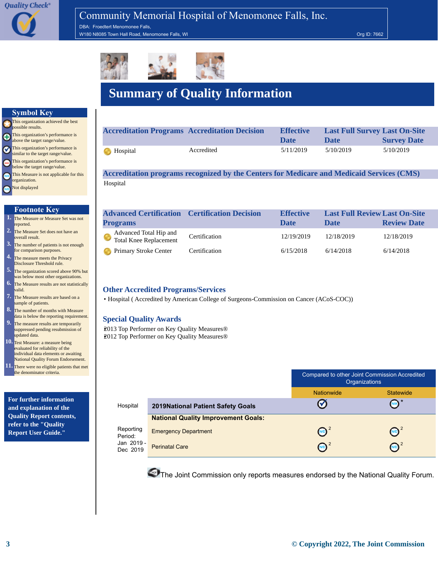DBA: Froedtert Menomonee Falls, W180 N8085 Town Hall Road, Menomonee Falls, WI Org ID: 7662 Control of the Control of the Control of the Control of the Control of the Control of the Control of the Control of the Control of the Control of the Control of t



## **Summary of Quality Information**

|  | <b>Symbol Key</b> |
|--|-------------------|
|  |                   |



#### **Footnote Key**

- **1.** The Measure or Measure Set was not reported.
- **2.** The Measure Set does not have an overall result.
- **3.** The number of patients is not enough for comparison purposes.
- **4.** The measure meets the Privacy Disclosure Threshold rule.
- **5.** The organization scored above 90% but was below most other organizations.
- **6.** The Measure results are not statistically valid.
- **7.** The Measure results are based on a sample of patients.
- **8.** The number of months with Measure data is below the reporting requirement.
- **9.** The measure results are temporarily **10.** Test Measure: a measure being suppressed pending resubmission of updated data.
- evaluated for reliability of the individual data elements or awaiting National Quality Forum Endorsement.
- **11.** There were no eligible patients that met the denominator criteria.

**For further information and explanation of the Quality Report contents, refer to the "Quality Report User Guide."**

| <b>Accreditation Programs Accreditation Decision</b> |            | <b>Effective</b><br><b>Date</b> | <b>Last Full Survey Last On-Site</b><br>Date | <b>Survey Date</b> |
|------------------------------------------------------|------------|---------------------------------|----------------------------------------------|--------------------|
| <b>B</b> Hospital                                    | Accredited | 5/11/2019                       | 5/10/2019                                    | 5/10/2019          |

**Accreditation programs recognized by the Centers for Medicare and Medicaid Services (CMS)** Hospital

| <b>Advanced Certification Certification Decision</b> |               | <b>Effective</b> | <b>Last Full Review Last On-Site</b> |                    |
|------------------------------------------------------|---------------|------------------|--------------------------------------|--------------------|
| <b>Programs</b>                                      |               | <b>Date</b>      | <b>Date</b>                          | <b>Review Date</b> |
| Advanced Total Hip and<br>Total Knee Replacement     | Certification | 12/19/2019       | 12/18/2019                           | 12/18/2019         |
| Primary Stroke Center                                | Certification | 6/15/2018        | 6/14/2018                            | 6/14/2018          |

#### **Other Accredited Programs/Services**

• Hospital ( Accredited by [American College of Surgeons-Commission on Cancer \(ACoS-COC\)\)]( )

#### **Special Quality Awards**

•2013 Top Performer on Key Quality Measures® •2012 Top Performer on Key Quality Measures®

|                        |                                            | Compared to other Joint Commission Accredited<br>Organizations |            |  |
|------------------------|--------------------------------------------|----------------------------------------------------------------|------------|--|
|                        |                                            | <b>Nationwide</b><br><b>Statewide</b>                          |            |  |
| Hospital               | <b>2019National Patient Safety Goals</b>   | M                                                              |            |  |
|                        | <b>National Quality Improvement Goals:</b> |                                                                |            |  |
| Reporting<br>Period:   | <b>Emergency Department</b>                | (ND)                                                           | N/D        |  |
| Jan 2019 -<br>Dec 2019 | <b>Perinatal Care</b>                      | (N/D)                                                          | <b>N/D</b> |  |

The Joint Commission only reports measures endorsed by the [National Quality Forum.](http://www.jointcommission.org/qualitycheck/06_glossary#National_Quality_Forum)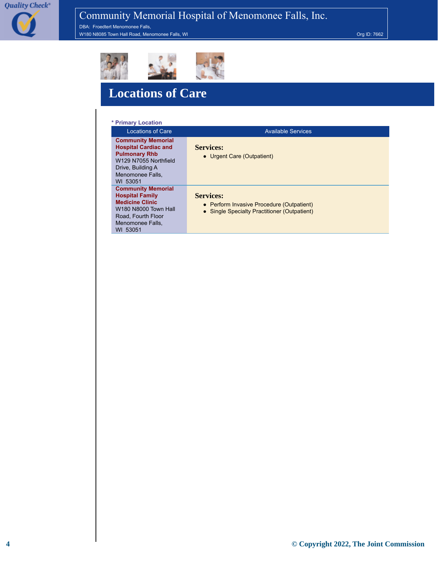DBA: Froedtert Menomonee Falls, W180 N8085 Town Hall Road, Menomonee Falls, WI Contract of the Contract of the Contract of the Contract of the Contract of the Contract of the Contract of the Contract of the Contract of the Contract of the Contract of the



## **Locations of Care**

#### **\* Primary Location**

| <b>Locations of Care</b>                                                                                                                                       | <b>Available Services</b>                                                                                     |
|----------------------------------------------------------------------------------------------------------------------------------------------------------------|---------------------------------------------------------------------------------------------------------------|
| <b>Community Memorial</b><br><b>Hospital Cardiac and</b><br><b>Pulmonary Rhb</b><br>W129 N7055 Northfield<br>Drive, Building A<br>Menomonee Falls.<br>WI 53051 | <b>Services:</b><br>• Urgent Care (Outpatient)                                                                |
| <b>Community Memorial</b><br><b>Hospital Family</b><br><b>Medicine Clinic</b><br>W180 N8000 Town Hall<br>Road. Fourth Floor<br>Menomonee Falls.<br>WI 53051    | <b>Services:</b><br>• Perform Invasive Procedure (Outpatient)<br>• Single Specialty Practitioner (Outpatient) |

**4 © Copyright 2022, The Joint Commission**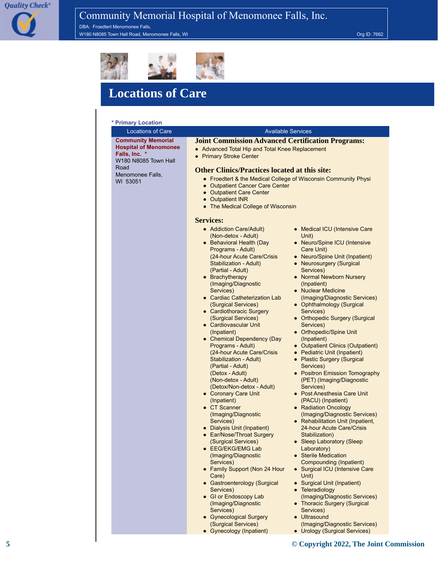DBA: Froedtert Menomonee Falls, W180 N8085 Town Hall Road, Menomonee Falls, WI Org ID: 7662 AM AND TO THE ROAD, THE ROAD OR DETECT OF THE ROAD



## **Locations of Care**

#### **\* Primary Location**

| <b>Locations of Care</b>                                                                           | <b>Available Services</b>                                                                                                                                                                                                                                                                                                                                                                                                                                                                                                                                                                                                                                                                                                                                                                                                                   |                                                                                                                                                                                                                                                                                                                                                                                                                                                                                                                                                                                                                                                                                                                                                                                                                                                                         |  |
|----------------------------------------------------------------------------------------------------|---------------------------------------------------------------------------------------------------------------------------------------------------------------------------------------------------------------------------------------------------------------------------------------------------------------------------------------------------------------------------------------------------------------------------------------------------------------------------------------------------------------------------------------------------------------------------------------------------------------------------------------------------------------------------------------------------------------------------------------------------------------------------------------------------------------------------------------------|-------------------------------------------------------------------------------------------------------------------------------------------------------------------------------------------------------------------------------------------------------------------------------------------------------------------------------------------------------------------------------------------------------------------------------------------------------------------------------------------------------------------------------------------------------------------------------------------------------------------------------------------------------------------------------------------------------------------------------------------------------------------------------------------------------------------------------------------------------------------------|--|
| <b>Community Memorial</b><br><b>Hospital of Menomonee</b><br>Falls, Inc. *<br>W180 N8085 Town Hall | <b>Joint Commission Advanced Certification Programs:</b><br>• Advanced Total Hip and Total Knee Replacement<br>• Primary Stroke Center                                                                                                                                                                                                                                                                                                                                                                                                                                                                                                                                                                                                                                                                                                      |                                                                                                                                                                                                                                                                                                                                                                                                                                                                                                                                                                                                                                                                                                                                                                                                                                                                         |  |
| Road<br>Menomonee Falls,<br>WI 53051                                                               | <b>Other Clinics/Practices located at this site:</b><br>• Froedtert & the Medical College of Wisconsin Community Physi<br>• Outpatient Cancer Care Center<br>• Outpatient Care Center<br>• Outpatient INR<br>• The Medical College of Wisconsin                                                                                                                                                                                                                                                                                                                                                                                                                                                                                                                                                                                             |                                                                                                                                                                                                                                                                                                                                                                                                                                                                                                                                                                                                                                                                                                                                                                                                                                                                         |  |
|                                                                                                    | <b>Services:</b><br>• Addiction Care/Adult)<br>(Non-detox - Adult)<br>• Behavioral Health (Day<br>Programs - Adult)<br>(24-hour Acute Care/Crisis<br>Stabilization - Adult)<br>(Partial - Adult)<br>• Brachytherapy<br>(Imaging/Diagnostic<br>Services)<br>• Cardiac Catheterization Lab<br>(Surgical Services)<br>• Cardiothoracic Surgery<br>(Surgical Services)<br>• Cardiovascular Unit<br>(Inpatient)<br>• Chemical Dependency (Day<br>Programs - Adult)<br>(24-hour Acute Care/Crisis<br>Stabilization - Adult)<br>(Partial - Adult)<br>(Detox - Adult)<br>(Non-detox - Adult)<br>(Detox/Non-detox - Adult)<br>• Coronary Care Unit<br>(Inpatient)<br>• CT Scanner<br>(Imaging/Diagnostic<br>Services)<br>• Dialysis Unit (Inpatient)<br>• Ear/Nose/Throat Surgery<br>(Surgical Services)<br>● EEG/EKG/EMG Lab<br>(Imaging/Diagnostic | • Medical ICU (Intensive Care<br>Unit)<br>• Neuro/Spine ICU (Intensive<br>Care Unit)<br>• Neuro/Spine Unit (Inpatient)<br>• Neurosurgery (Surgical<br>Services)<br>• Normal Newborn Nursery<br>(Inpatient)<br>• Nuclear Medicine<br>(Imaging/Diagnostic Services)<br>• Ophthalmology (Surgical<br>Services)<br>• Orthopedic Surgery (Surgical<br>Services)<br>• Orthopedic/Spine Unit<br>(Inpatient)<br>• Outpatient Clinics (Outpatient)<br>• Pediatric Unit (Inpatient)<br>• Plastic Surgery (Surgical<br>Services)<br>• Positron Emission Tomography<br>(PET) (Imaging/Diagnostic<br>Services)<br>• Post Anesthesia Care Unit<br>(PACU) (Inpatient)<br>• Radiation Oncology<br>(Imaging/Diagnostic Services)<br>• Rehabilitation Unit (Inpatient,<br>24-hour Acute Care/Crisis<br>Stabilization)<br>• Sleep Laboratory (Sleep<br>Laboratory)<br>• Sterile Medication |  |
|                                                                                                    | Services)<br>• Family Support (Non 24 Hour<br>Care)<br>• Gastroenterology (Surgical<br>Services)<br>• GI or Endoscopy Lab<br>(Imaging/Diagnostic<br>Services)<br>• Gynecological Surgery                                                                                                                                                                                                                                                                                                                                                                                                                                                                                                                                                                                                                                                    | Compounding (Inpatient)<br>• Surgical ICU (Intensive Care<br>Unit)<br>• Surgical Unit (Inpatient)<br>• Teleradiology<br>(Imaging/Diagnostic Services)<br>• Thoracic Surgery (Surgical<br>Services)<br>• Ultrasound                                                                                                                                                                                                                                                                                                                                                                                                                                                                                                                                                                                                                                                      |  |

● Gynecological Surgery (Surgical Services) • Gynecology (Inpatient)

(Imaging/Diagnostic Services) ● Urology (Surgical Services)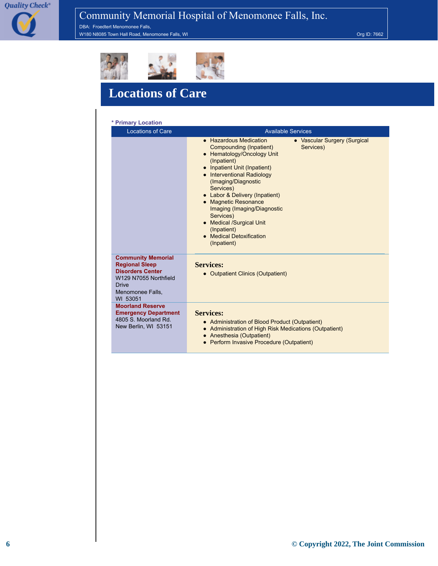**Quality Check®** 

## Community Memorial Hospital of Menomonee Falls, Inc.

DBA: Froedtert Menomonee Falls, with the Machinese Town Hall Road, Menomonee Falls, WI Org ID: 7662



## **Locations of Care**

| * Primary Location                                                                                                                                     |                                                                                                                                                                                                                                                                                                                                                                                                                                              |
|--------------------------------------------------------------------------------------------------------------------------------------------------------|----------------------------------------------------------------------------------------------------------------------------------------------------------------------------------------------------------------------------------------------------------------------------------------------------------------------------------------------------------------------------------------------------------------------------------------------|
| <b>Locations of Care</b>                                                                                                                               | <b>Available Services</b>                                                                                                                                                                                                                                                                                                                                                                                                                    |
|                                                                                                                                                        | • Hazardous Medication<br>• Vascular Surgery (Surgical<br>Compounding (Inpatient)<br>Services)<br>Hematology/Oncology Unit<br>(Inpatient)<br>• Inpatient Unit (Inpatient)<br>• Interventional Radiology<br>(Imaging/Diagnostic<br>Services)<br>• Labor & Delivery (Inpatient)<br>• Magnetic Resonance<br>Imaging (Imaging/Diagnostic<br>Services)<br>• Medical /Surgical Unit<br>(Inpatient)<br><b>Medical Detoxification</b><br>(Inpatient) |
| <b>Community Memorial</b><br><b>Regional Sleep</b><br><b>Disorders Center</b><br>W129 N7055 Northfield<br><b>Drive</b><br>Menomonee Falls.<br>WI 53051 | <b>Services:</b><br>• Outpatient Clinics (Outpatient)                                                                                                                                                                                                                                                                                                                                                                                        |
| <b>Moorland Reserve</b><br><b>Emergency Department</b><br>4805 S. Moorland Rd.<br>New Berlin, WI 53151                                                 | <b>Services:</b><br>• Administration of Blood Product (Outpatient)<br>• Administration of High Risk Medications (Outpatient)<br>Anesthesia (Outpatient)<br>• Perform Invasive Procedure (Outpatient)                                                                                                                                                                                                                                         |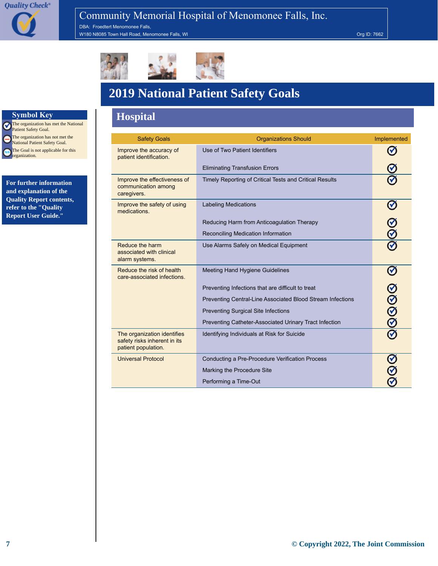DBA: Froedtert Menomonee Falls, W180 N8085 Town Hall Road, Menomonee Falls, WI Change of Contract of Contract of Contract of Contract of Contract of Contract of Contract of Contract of Contract of Contract of Contract of Contract of Contract of Contract



## **2019 National Patient Safety Goals**

#### **Symbol Key Hospital**

| <b>Safety Goals</b>                                                                | <b>Organizations Should</b>                                | Implemented    |
|------------------------------------------------------------------------------------|------------------------------------------------------------|----------------|
| Improve the accuracy of<br>patient identification.                                 | Use of Two Patient Identifiers                             |                |
|                                                                                    | <b>Eliminating Transfusion Errors</b>                      |                |
| Improve the effectiveness of<br>communication among<br>caregivers.                 | Timely Reporting of Critical Tests and Critical Results    |                |
| Improve the safety of using<br>medications.                                        | <b>Labeling Medications</b>                                |                |
|                                                                                    | Reducing Harm from Anticoagulation Therapy                 |                |
|                                                                                    | Reconciling Medication Information                         |                |
| Reduce the harm<br>associated with clinical<br>alarm systems.                      | Use Alarms Safely on Medical Equipment                     |                |
| Reduce the risk of health<br>care-associated infections.                           | Meeting Hand Hygiene Guidelines                            |                |
|                                                                                    | Preventing Infections that are difficult to treat          |                |
|                                                                                    | Preventing Central-Line Associated Blood Stream Infections | <u>ର</u><br>ବି |
|                                                                                    | <b>Preventing Surgical Site Infections</b>                 |                |
|                                                                                    | Preventing Catheter-Associated Urinary Tract Infection     |                |
| The organization identifies<br>safety risks inherent in its<br>patient population. | Identifying Individuals at Risk for Suicide                |                |
| <b>Universal Protocol</b>                                                          | Conducting a Pre-Procedure Verification Process            |                |
|                                                                                    | Marking the Procedure Site                                 |                |
|                                                                                    | Performing a Time-Out                                      |                |

The organization has met the National Patient Safety Goal. The organization has not met the e National Patient Safety Goal. The Goal is not applicable for this  $\bullet$ organization.

**For further information and explanation of the Quality Report contents, refer to the "Quality Report User Guide."**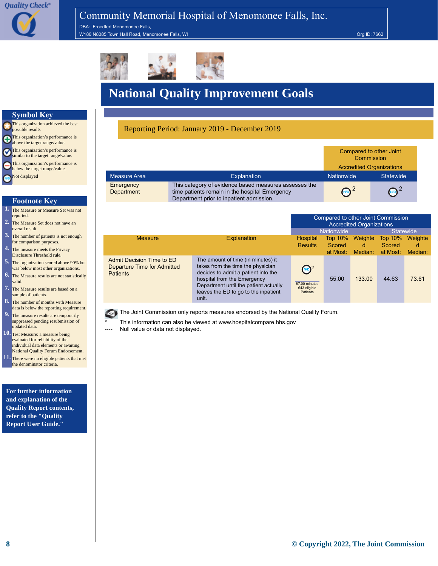DBA: Froedtert Menomonee Falls, W180 N8085 Town Hall Road, Menomonee Falls, WI Org ID: 7662



## **National Quality Improvement Goals**

#### Reporting Period: January 2019 - December 2019

|                         |                                                                                                                                                     | Compared to other Joint<br>Commission |                                 |
|-------------------------|-----------------------------------------------------------------------------------------------------------------------------------------------------|---------------------------------------|---------------------------------|
|                         |                                                                                                                                                     |                                       | <b>Accredited Organizations</b> |
| Measure Area            | <b>Explanation</b>                                                                                                                                  | <b>Nationwide</b>                     | Statewide                       |
| Emergency<br>Department | This category of evidence based measures assesses the<br>time patients remain in the hospital Emergency<br>Department prior to inpatient admission. | $\text{ND}^2$                         |                                 |

|                                                                             |                                                                                                                                                                                                                                         | Compared to other Joint Commission<br>Accredited Organizations |                                      |                         |                                      |                         |
|-----------------------------------------------------------------------------|-----------------------------------------------------------------------------------------------------------------------------------------------------------------------------------------------------------------------------------------|----------------------------------------------------------------|--------------------------------------|-------------------------|--------------------------------------|-------------------------|
|                                                                             |                                                                                                                                                                                                                                         |                                                                | <b>Nationwide</b>                    |                         |                                      | <b>Statewide</b>        |
| <b>Measure</b>                                                              | Explanation                                                                                                                                                                                                                             | Hospital<br><b>Results</b>                                     | <b>Top 10%</b><br>Scored<br>at Most: | Weighte<br>d<br>Median: | <b>Top 10%</b><br>Scored<br>at Most: | Weighte<br>d<br>Median: |
| Admit Decision Time to ED<br>Departure Time for Admitted<br><b>Patients</b> | The amount of time (in minutes) it<br>takes from the time the physician<br>decides to admit a patient into the<br>hospital from the Emergency<br>Department until the patient actually<br>leaves the ED to go to the inpatient<br>unit. | $\binom{1}{2}$<br>87,00 minutes<br>643 eligible<br>Patients    | 55.00                                | 133.00                  | 44.63                                | 73.61                   |

The Joint Commission only reports measures endorsed by the [National Quality Forum.](http://www.jointcommission.org/qualitycheck/06_glossary#National_Quality_Forum)

This information can also be viewed at [www.hospitalcompare.hhs.gov](http://www.hospitalcompare.hhs.gov)

Null value or data not displayed.

#### **Symbol Key**

This organization achieved the best possible results **O**This organization's performance is above the target range/value. This organization's performance is Ø similar to the target range/value. This organization's performance is below the target range/value. Not displayed G

#### **Footnote Key**

- **1.** The Measure or Measure Set was not reported.
- **2.** The Measure Set does not have an overall result.
- **3.** The number of patients is not enough for comparison purposes.
- **4.** The measure meets the Privacy Disclosure Threshold rule.
- **5.** The organization scored above 90% but was below most other organizations.
- **6.** The Measure results are not statistically valid.
- **7.** The Measure results are based on a sample of patients.
- **8.** The number of months with Measure data is below the reporting requirement.
- **9.** The measure results are temporarily suppressed pending resubmission of updated data.
- **10.** Test Measure: a measure being evaluated for reliability of the ndividual data elements or awaiting National Quality Forum Endorsement. **11.** There were no eligible patients that met
- he denominator criteria.

**For further information and explanation of the Quality Report contents, refer to the "Quality Report User Guide."**